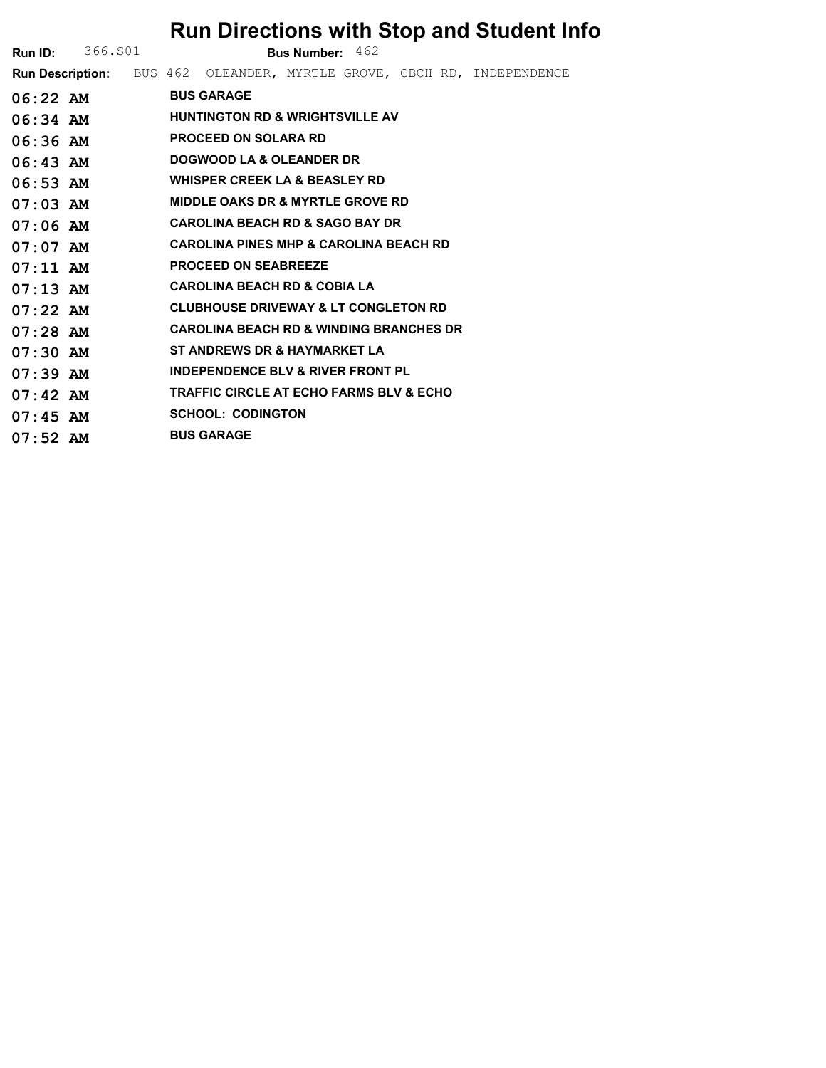|            |                         | <b>Run Directions with Stop and Student Info</b>                       |
|------------|-------------------------|------------------------------------------------------------------------|
|            | <b>Run ID:</b> 366. S01 | <b>Bus Number:</b> $462$                                               |
|            |                         | Run Description: BUS 462 OLEANDER, MYRTLE GROVE, CBCH RD, INDEPENDENCE |
| $06:22$ AM |                         | <b>BUS GARAGE</b>                                                      |
| $06:34$ AM |                         | <b>HUNTINGTON RD &amp; WRIGHTSVILLE AV</b>                             |
| $06:36$ AM |                         | <b>PROCEED ON SOLARA RD</b>                                            |
| $06:43$ AM |                         | DOGWOOD LA & OLEANDER DR                                               |
| $06:53$ AM |                         | <b>WHISPER CREEK LA &amp; BEASLEY RD</b>                               |
| $07:03$ AM |                         | <b>MIDDLE OAKS DR &amp; MYRTLE GROVE RD</b>                            |
| $07:06$ AM |                         | <b>CAROLINA BEACH RD &amp; SAGO BAY DR</b>                             |
| $07:07$ AM |                         | <b>CAROLINA PINES MHP &amp; CAROLINA BEACH RD</b>                      |
| $07:11$ AM |                         | <b>PROCEED ON SEABREEZE</b>                                            |
| $07:13$ AM |                         | <b>CAROLINA BEACH RD &amp; COBIA LA</b>                                |
| $07:22$ AM |                         | <b>CLUBHOUSE DRIVEWAY &amp; LT CONGLETON RD</b>                        |
| $07:28$ AM |                         | <b>CAROLINA BEACH RD &amp; WINDING BRANCHES DR</b>                     |
| $07:30$ AM |                         | ST ANDREWS DR & HAYMARKET LA                                           |
| $07:39$ AM |                         | <b>INDEPENDENCE BLV &amp; RIVER FRONT PL</b>                           |
| $07:42$ AM |                         | <b>TRAFFIC CIRCLE AT ECHO FARMS BLV &amp; ECHO</b>                     |
| $07:45$ AM |                         | <b>SCHOOL: CODINGTON</b>                                               |
| $07:52$ AM |                         | <b>BUS GARAGE</b>                                                      |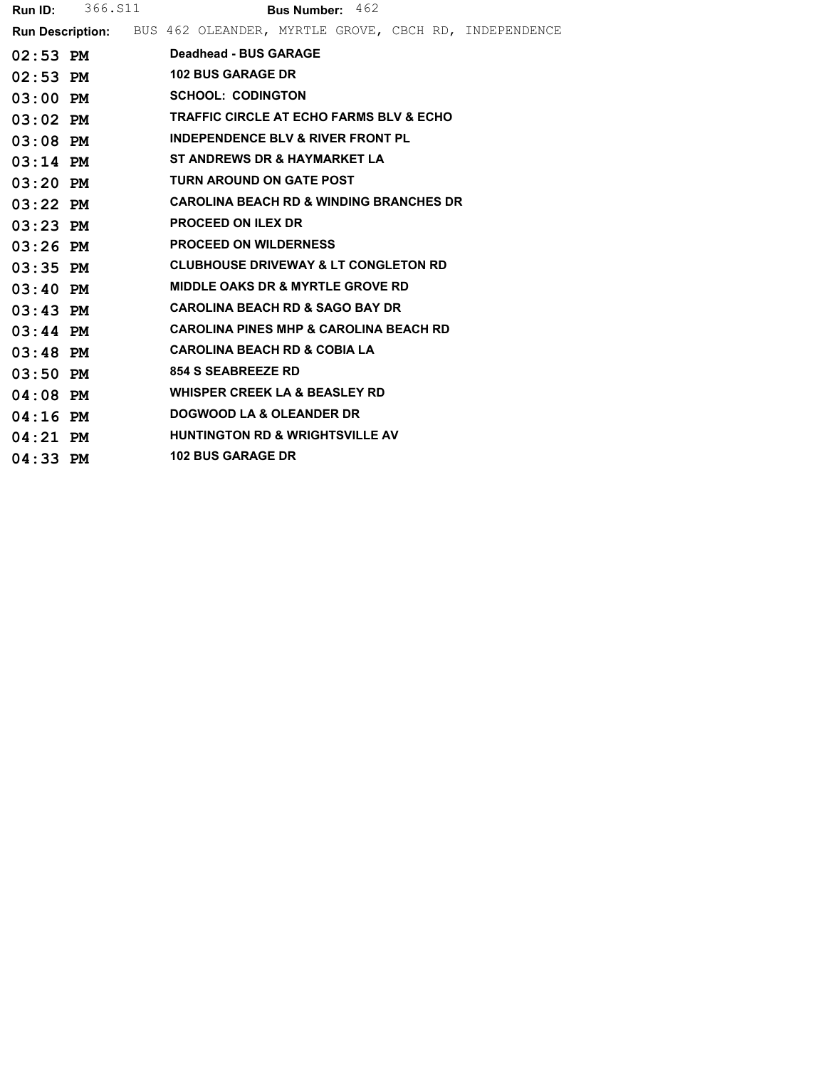| <b>Run ID:</b> | 366.S11 | <b>Bus Number: 462</b>                                                        |
|----------------|---------|-------------------------------------------------------------------------------|
|                |         | <b>Run Description:</b> BUS 462 OLEANDER, MYRTLE GROVE, CBCH RD, INDEPENDENCE |
| $02:53$ PM     |         | Deadhead - BUS GARAGE                                                         |
| $02:53$ PM     |         | <b>102 BUS GARAGE DR</b>                                                      |
| $03:00$ PM     |         | <b>SCHOOL: CODINGTON</b>                                                      |
| $03:02$ PM     |         | <b>TRAFFIC CIRCLE AT ECHO FARMS BLV &amp; ECHO</b>                            |
| $03:08$ PM     |         | <b>INDEPENDENCE BLV &amp; RIVER FRONT PL</b>                                  |
| $03:14$ PM     |         | ST ANDREWS DR & HAYMARKET LA                                                  |
| $03:20$ PM     |         | <b>TURN AROUND ON GATE POST</b>                                               |
| $03:22$ PM     |         | <b>CAROLINA BEACH RD &amp; WINDING BRANCHES DR</b>                            |
| $03:23$ PM     |         | <b>PROCEED ON ILEX DR</b>                                                     |
| $03:26$ PM     |         | <b>PROCEED ON WILDERNESS</b>                                                  |
| $03:35$ PM     |         | <b>CLUBHOUSE DRIVEWAY &amp; LT CONGLETON RD</b>                               |
| $03:40$ PM     |         | <b>MIDDLE OAKS DR &amp; MYRTLE GROVE RD</b>                                   |
| $03:43$ PM     |         | <b>CAROLINA BEACH RD &amp; SAGO BAY DR</b>                                    |
| $03:44$ PM     |         | <b>CAROLINA PINES MHP &amp; CAROLINA BEACH RD</b>                             |
| $03:48$ PM     |         | <b>CAROLINA BEACH RD &amp; COBIA LA</b>                                       |
| $03:50$ PM     |         | <b>854 S SEABREEZE RD</b>                                                     |
| $04:08$ PM     |         | <b>WHISPER CREEK LA &amp; BEASLEY RD</b>                                      |
| $04:16$ PM     |         | <b>DOGWOOD LA &amp; OLEANDER DR</b>                                           |
| $04:21$ PM     |         | <b>HUNTINGTON RD &amp; WRIGHTSVILLE AV</b>                                    |
| $04:33$ PM     |         | <b>102 BUS GARAGE DR</b>                                                      |
|                |         |                                                                               |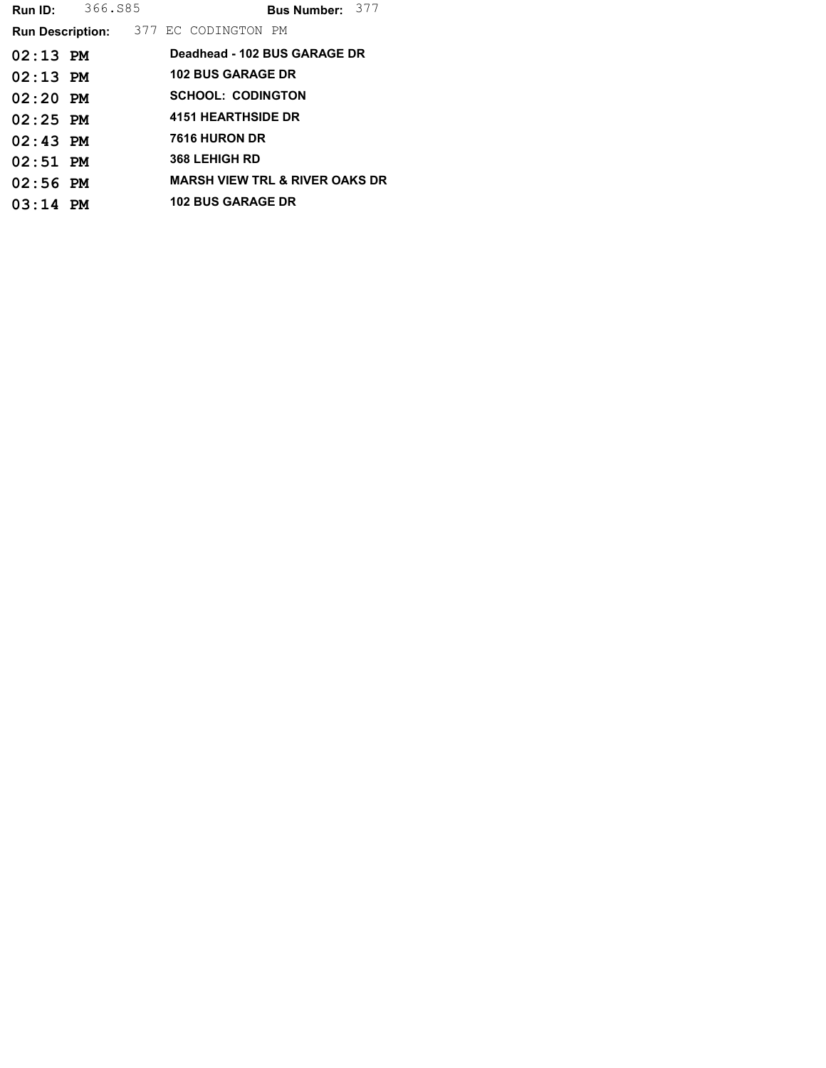| Run ID:                                     | 366.S85 |                                           | Bus Number: 377 |  |
|---------------------------------------------|---------|-------------------------------------------|-----------------|--|
| <b>Run Description:</b> 377 EC CODINGTON PM |         |                                           |                 |  |
| $02:13$ PM                                  |         | Deadhead - 102 BUS GARAGE DR              |                 |  |
| $02:13$ PM                                  |         | <b>102 BUS GARAGE DR</b>                  |                 |  |
| $02:20$ PM                                  |         | <b>SCHOOL: CODINGTON</b>                  |                 |  |
| $02:25$ PM                                  |         | <b>4151 HEARTHSIDE DR</b>                 |                 |  |
| $02:43$ PM                                  |         | 7616 HURON DR                             |                 |  |
| $02:51$ PM                                  |         | <b>368 LEHIGH RD</b>                      |                 |  |
| $02:56$ PM                                  |         | <b>MARSH VIEW TRL &amp; RIVER OAKS DR</b> |                 |  |
| $03:14$ PM                                  |         | <b>102 BUS GARAGE DR</b>                  |                 |  |